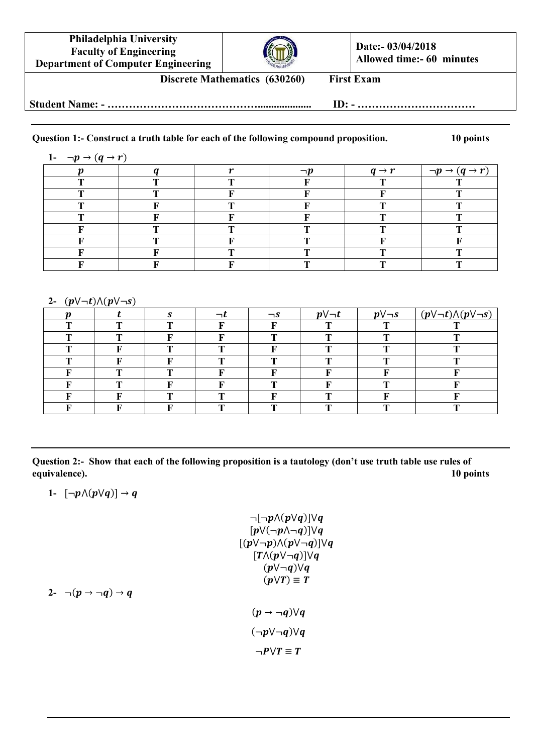



**Date:- 03/04/2018 Allowed time:- 60 minutes**

**Discrete Mathematics (630260) First Exam**

**Student Name: - …………………………………….................... ID: - ……………………………**

## **Question 1:- Construct a truth table for each of the following compound proposition. 10 points**

| 1- $\neg p \rightarrow (q \rightarrow r)$ |  |  |   |                   |                      |  |  |
|-------------------------------------------|--|--|---|-------------------|----------------------|--|--|
|                                           |  |  |   | $q \rightarrow r$ | $\neg p \rightarrow$ |  |  |
| m                                         |  |  |   |                   |                      |  |  |
|                                           |  |  |   |                   |                      |  |  |
| m                                         |  |  |   |                   | m                    |  |  |
| m                                         |  |  |   |                   |                      |  |  |
|                                           |  |  | m |                   |                      |  |  |
|                                           |  |  |   |                   |                      |  |  |
|                                           |  |  |   |                   |                      |  |  |
|                                           |  |  |   |                   |                      |  |  |

## 2- $(p \lor \neg t) \land (p \lor \neg s)$

| $\sim$ | .<br>$\overline{\phantom{a}}$ |   |   |          |                 |                 |                                         |
|--------|-------------------------------|---|---|----------|-----------------|-----------------|-----------------------------------------|
|        |                               |   |   | $\neg s$ | $p \vee \neg t$ | $p \vee \neg s$ | $(p \lor \neg t) \land (p \lor \neg s)$ |
|        | m                             | m |   |          |                 | m               |                                         |
|        |                               |   |   | n        | m               |                 |                                         |
|        |                               | m | m |          | m               |                 |                                         |
|        |                               |   | m | n        | m               |                 |                                         |
|        | n                             | m |   |          |                 |                 |                                         |
|        | m                             |   |   | n        |                 |                 |                                         |
|        |                               | m | m |          | m               |                 |                                         |
|        |                               |   | m | п        | m               |                 |                                         |

**Question 2:- Show that each of the following proposition is a tautology (don't use truth table use rules of equivalence). 10 points**

1-  $[\neg p \land (p \lor q)] \rightarrow q$ 

$$
\neg[\neg p \land (p \lor q)] \lor q
$$
  
\n
$$
[p \lor (\neg p \land \neg q)] \lor q
$$
  
\n
$$
[(p \lor \neg p) \land (p \lor \neg q)] \lor q
$$
  
\n
$$
[T \land (p \lor \neg q)] \lor q
$$
  
\n
$$
(p \lor \neg q) \lor q
$$
  
\n
$$
(p \rightarrow \neg q) \lor q
$$
  
\n
$$
(\neg p \lor \neg q) \lor q
$$
  
\n
$$
\neg P \lor T \equiv T
$$

2-  $\neg(p \rightarrow \neg q) \rightarrow q$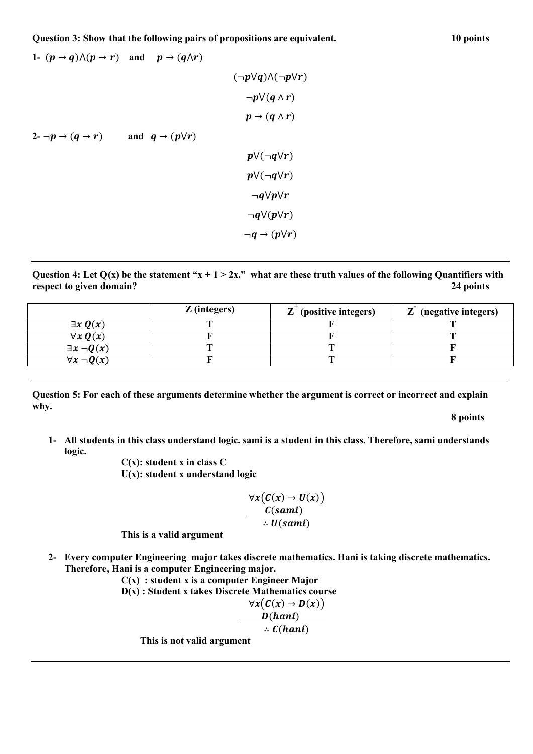**Question 3: Show that the following pairs of propositions are equivalent. 10 points**

1- 
$$
(p \rightarrow q) \land (p \rightarrow r)
$$
 and  $p \rightarrow (q \land r)$   
\n $(\neg p \lor q) \land (\neg p \lor r)$   
\n $\neg p \lor (q \land r)$   
\n2-  $\neg p \rightarrow (q \rightarrow r)$  and  $q \rightarrow (p \lor r)$   
\n $p \lor (\neg q \lor r)$   
\n $p \lor (\neg q \lor r)$   
\n $\neg q \lor p \lor r$   
\n $\neg q \lor (p \lor r)$   
\n $\neg q \rightarrow (p \lor r)$ 

Question 4: Let  $Q(x)$  be the statement " $x + 1 > 2x$ ." what are these truth values of the following Quantifiers with **respect to given domain? 24 points**

|                       | $Z$ (integers) | $\mathbf{Z}$<br>(positive integers) | $Z$ (negative integers) |
|-----------------------|----------------|-------------------------------------|-------------------------|
| $\exists x \, Q(x)$   |                |                                     |                         |
| $\forall x \, Q(x)$   |                |                                     |                         |
| $\exists x \neg Q(x)$ |                |                                     |                         |
| $\forall x \neg Q(x)$ |                |                                     |                         |

**Question 5: For each of these arguments determine whether the argument is correct or incorrect and explain why.**

**8 points**

**1- All students in this class understand logic. sami is a student in this class. Therefore, sami understands logic.**

**C(x): student x in class C U(x): student x understand logic**

$$
\frac{\forall x (C(x) \rightarrow U(x))}{C(sami)}\\ \therefore U(sami)
$$

**This is a valid argument**

- **2- Every computer Engineering major takes discrete mathematics. Hani is taking discrete mathematics. Therefore, Hani is a computer Engineering major.**
	- **C(x) : student x is a computer Engineer Major D(x) : Student x takes Discrete Mathematics course**  $\forall x (C(x) \rightarrow D(x))$  $D(hani)$  $\therefore$  C(hani) **This is not valid argument**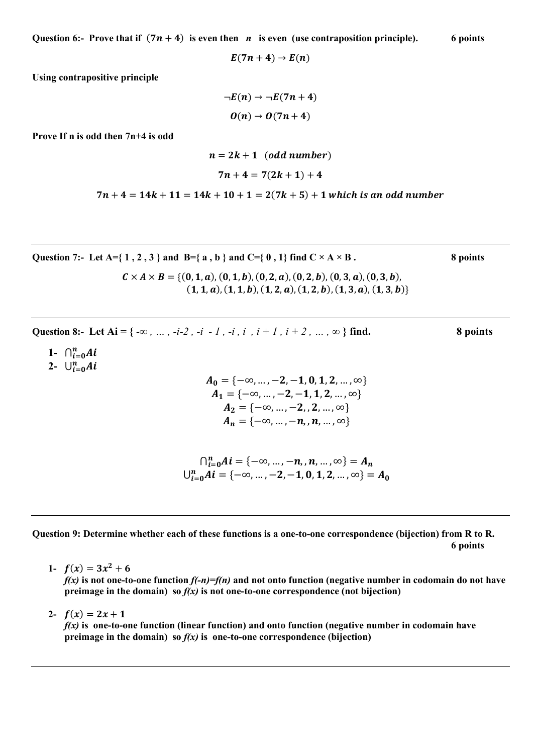**Question 6:-** Prove that if  $(7n + 4)$  is even then *n* is even (use contraposition principle). 6 points

 $E(7n + 4) \rightarrow E(n)$ 

**Using contrapositive principle**

$$
\neg E(n) \rightarrow \neg E(7n+4)
$$

$$
O(n) \rightarrow O(7n+4)
$$

**Prove If n is odd then 7n+4 is odd**

$$
n = 2k + 1 \quad (odd \ number)
$$
  

$$
7n + 4 = 7(2k + 1) + 4
$$

 $7n + 4 = 14k + 11 = 14k + 10 + 1 = 2(7k + 5) + 1$  which is an odd number

Question 7:- Let  $A = \{ 1, 2, 3 \}$  and  $B = \{ a, b \}$  and  $C = \{ 0, 1 \}$  find  $C \times A \times B$ .

 $C \times A \times B = \{(0,1,a), (0,1,b), (0,2,a), (0,2,b), (0,3,a), (0,3,b),$  $(1, 1, a), (1, 1, b), (1, 2, a), (1, 2, b), (1, 3, a), (1, 3, b)$ 

Question 8:- Let Ai = { $-\infty$ , ...,  $-i-2$ ,  $-i$ ,  $1$ ,  $-i$ ,  $i$ ,  $i+1$ ,  $i+2$ , ...,  $\infty$ } find. 8 points

- **1-**
- **2-**

$$
\bigcap_{i=0}^{n} Ai = \{-\infty, \dots, -n, n, \dots, \infty\} = A_n
$$
  

$$
\bigcup_{i=0}^{n} Ai = \{-\infty, \dots, -2, -1, 0, 1, 2, \dots, \infty\} = A_0
$$

**Question 9: Determine whether each of these functions is a one-to-one correspondence (bijection) from R to R. 6 points**

1-  $f(x) = 3x^2 + 6$ 

 $f(x)$  is not one-to-one function  $f(-n)=f(n)$  and not onto function (negative number in codomain do not have **preimage in the domain) so** *f(x)* **is not one-to-one correspondence (not bijection)**

2-  $f(x) = 2x + 1$ 

*f(x)* **is one-to-one function (linear function) and onto function (negative number in codomain have preimage in the domain) so**  $f(x)$  **is one-to-one correspondence (bijection)** 

8:- Let Ai = { -∞, ..., -i-2, -i - 1, -i, i , i + 1, i + 2, ..., ∞ } find.  
\n8 point  
\n
$$
{}_{i=0}^{n} Ai
$$
\n
$$
A_{0} = {-∞, ..., -2, -1, 0, 1, 2, ..., ∞}  
\n A_{1} = {-∞, ..., -2, -1, 1, 2, ..., ∞}  
\n A_{2} = {-∞, ..., -2, 2, ..., ∞}  
\n A_{n} = {-∞, ..., -n, n, ..., ∞}
$$